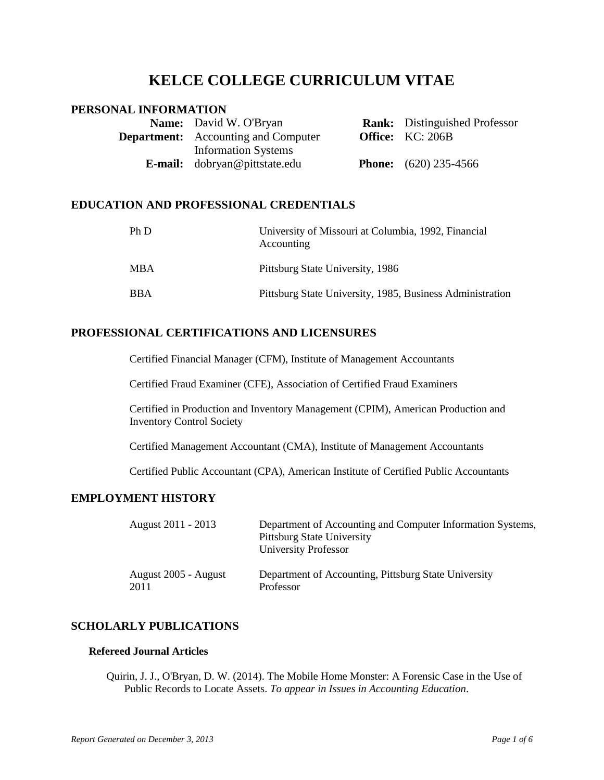# **KELCE COLLEGE CURRICULUM VITAE**

# **PERSONAL INFORMATION**

| <b>Name:</b> David W. O'Bryan              | <b>Rank:</b> Distinguished Professor |
|--------------------------------------------|--------------------------------------|
| <b>Department:</b> Accounting and Computer | <b>Office:</b> KC: 206B              |
| <b>Information Systems</b>                 |                                      |
| <b>E-mail:</b> dobryan@pittstate.edu       | <b>Phone:</b> $(620)$ 235-4566       |

# **EDUCATION AND PROFESSIONAL CREDENTIALS**

| Ph D       | University of Missouri at Columbia, 1992, Financial<br>Accounting |
|------------|-------------------------------------------------------------------|
| <b>MBA</b> | Pittsburg State University, 1986                                  |
| <b>BBA</b> | Pittsburg State University, 1985, Business Administration         |

# **PROFESSIONAL CERTIFICATIONS AND LICENSURES**

Certified Financial Manager (CFM), Institute of Management Accountants

Certified Fraud Examiner (CFE), Association of Certified Fraud Examiners

Certified in Production and Inventory Management (CPIM), American Production and Inventory Control Society

Certified Management Accountant (CMA), Institute of Management Accountants

Certified Public Accountant (CPA), American Institute of Certified Public Accountants

# **EMPLOYMENT HISTORY**

| August 2011 - 2013   | Department of Accounting and Computer Information Systems,<br><b>Pittsburg State University</b><br>University Professor |
|----------------------|-------------------------------------------------------------------------------------------------------------------------|
| August 2005 - August | Department of Accounting, Pittsburg State University                                                                    |
| 2011                 | Professor                                                                                                               |

# **SCHOLARLY PUBLICATIONS**

# **Refereed Journal Articles**

Quirin, J. J., O'Bryan, D. W. (2014). The Mobile Home Monster: A Forensic Case in the Use of Public Records to Locate Assets. *To appear in Issues in Accounting Education*.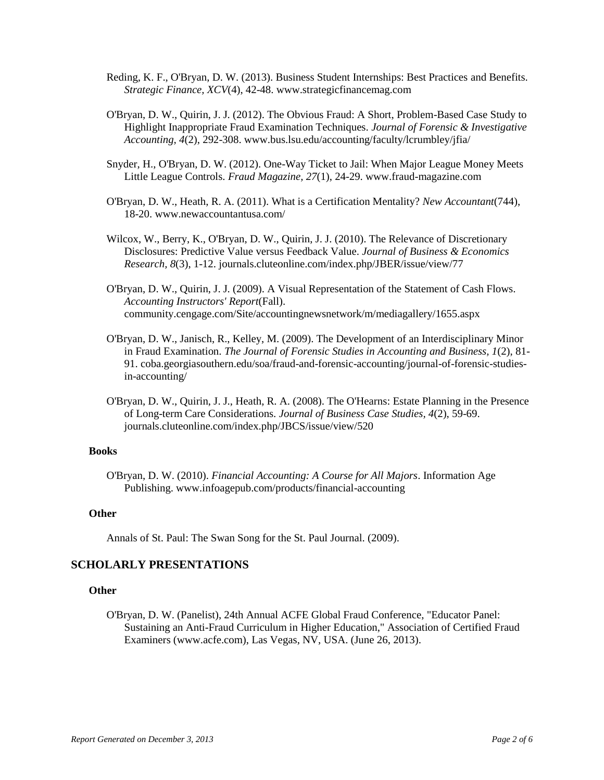- Reding, K. F., O'Bryan, D. W. (2013). Business Student Internships: Best Practices and Benefits. *Strategic Finance, XCV*(4), 42-48. www.strategicfinancemag.com
- O'Bryan, D. W., Quirin, J. J. (2012). The Obvious Fraud: A Short, Problem-Based Case Study to Highlight Inappropriate Fraud Examination Techniques. *Journal of Forensic & Investigative Accounting, 4*(2), 292-308. www.bus.lsu.edu/accounting/faculty/lcrumbley/jfia/
- Snyder, H., O'Bryan, D. W. (2012). One-Way Ticket to Jail: When Major League Money Meets Little League Controls. *Fraud Magazine, 27*(1), 24-29. www.fraud-magazine.com
- O'Bryan, D. W., Heath, R. A. (2011). What is a Certification Mentality? *New Accountant*(744), 18-20. www.newaccountantusa.com/
- Wilcox, W., Berry, K., O'Bryan, D. W., Quirin, J. J. (2010). The Relevance of Discretionary Disclosures: Predictive Value versus Feedback Value. *Journal of Business & Economics Research, 8*(3), 1-12. journals.cluteonline.com/index.php/JBER/issue/view/77
- O'Bryan, D. W., Quirin, J. J. (2009). A Visual Representation of the Statement of Cash Flows. *Accounting Instructors' Report*(Fall). community.cengage.com/Site/accountingnewsnetwork/m/mediagallery/1655.aspx
- O'Bryan, D. W., Janisch, R., Kelley, M. (2009). The Development of an Interdisciplinary Minor in Fraud Examination. *The Journal of Forensic Studies in Accounting and Business, 1*(2), 81- 91. coba.georgiasouthern.edu/soa/fraud-and-forensic-accounting/journal-of-forensic-studiesin-accounting/
- O'Bryan, D. W., Quirin, J. J., Heath, R. A. (2008). The O'Hearns: Estate Planning in the Presence of Long-term Care Considerations. *Journal of Business Case Studies, 4*(2), 59-69. journals.cluteonline.com/index.php/JBCS/issue/view/520

#### **Books**

O'Bryan, D. W. (2010). *Financial Accounting: A Course for All Majors*. Information Age Publishing. www.infoagepub.com/products/financial-accounting

#### **Other**

Annals of St. Paul: The Swan Song for the St. Paul Journal. (2009).

### **SCHOLARLY PRESENTATIONS**

### **Other**

O'Bryan, D. W. (Panelist), 24th Annual ACFE Global Fraud Conference, "Educator Panel: Sustaining an Anti-Fraud Curriculum in Higher Education," Association of Certified Fraud Examiners (www.acfe.com), Las Vegas, NV, USA. (June 26, 2013).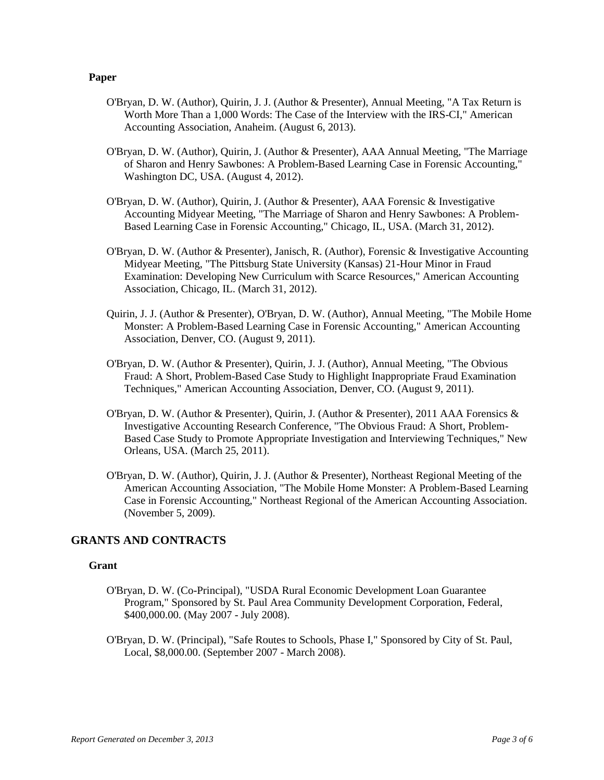#### **Paper**

- O'Bryan, D. W. (Author), Quirin, J. J. (Author & Presenter), Annual Meeting, "A Tax Return is Worth More Than a 1,000 Words: The Case of the Interview with the IRS-CI," American Accounting Association, Anaheim. (August 6, 2013).
- O'Bryan, D. W. (Author), Quirin, J. (Author & Presenter), AAA Annual Meeting, "The Marriage of Sharon and Henry Sawbones: A Problem-Based Learning Case in Forensic Accounting," Washington DC, USA. (August 4, 2012).
- O'Bryan, D. W. (Author), Quirin, J. (Author & Presenter), AAA Forensic & Investigative Accounting Midyear Meeting, "The Marriage of Sharon and Henry Sawbones: A Problem-Based Learning Case in Forensic Accounting," Chicago, IL, USA. (March 31, 2012).
- O'Bryan, D. W. (Author & Presenter), Janisch, R. (Author), Forensic & Investigative Accounting Midyear Meeting, "The Pittsburg State University (Kansas) 21-Hour Minor in Fraud Examination: Developing New Curriculum with Scarce Resources," American Accounting Association, Chicago, IL. (March 31, 2012).
- Quirin, J. J. (Author & Presenter), O'Bryan, D. W. (Author), Annual Meeting, "The Mobile Home Monster: A Problem-Based Learning Case in Forensic Accounting," American Accounting Association, Denver, CO. (August 9, 2011).
- O'Bryan, D. W. (Author & Presenter), Quirin, J. J. (Author), Annual Meeting, "The Obvious Fraud: A Short, Problem-Based Case Study to Highlight Inappropriate Fraud Examination Techniques," American Accounting Association, Denver, CO. (August 9, 2011).
- O'Bryan, D. W. (Author & Presenter), Quirin, J. (Author & Presenter), 2011 AAA Forensics & Investigative Accounting Research Conference, "The Obvious Fraud: A Short, Problem-Based Case Study to Promote Appropriate Investigation and Interviewing Techniques," New Orleans, USA. (March 25, 2011).
- O'Bryan, D. W. (Author), Quirin, J. J. (Author & Presenter), Northeast Regional Meeting of the American Accounting Association, "The Mobile Home Monster: A Problem-Based Learning Case in Forensic Accounting," Northeast Regional of the American Accounting Association. (November 5, 2009).

### **GRANTS AND CONTRACTS**

#### **Grant**

- O'Bryan, D. W. (Co-Principal), "USDA Rural Economic Development Loan Guarantee Program," Sponsored by St. Paul Area Community Development Corporation, Federal, \$400,000.00. (May 2007 - July 2008).
- O'Bryan, D. W. (Principal), "Safe Routes to Schools, Phase I," Sponsored by City of St. Paul, Local, \$8,000.00. (September 2007 - March 2008).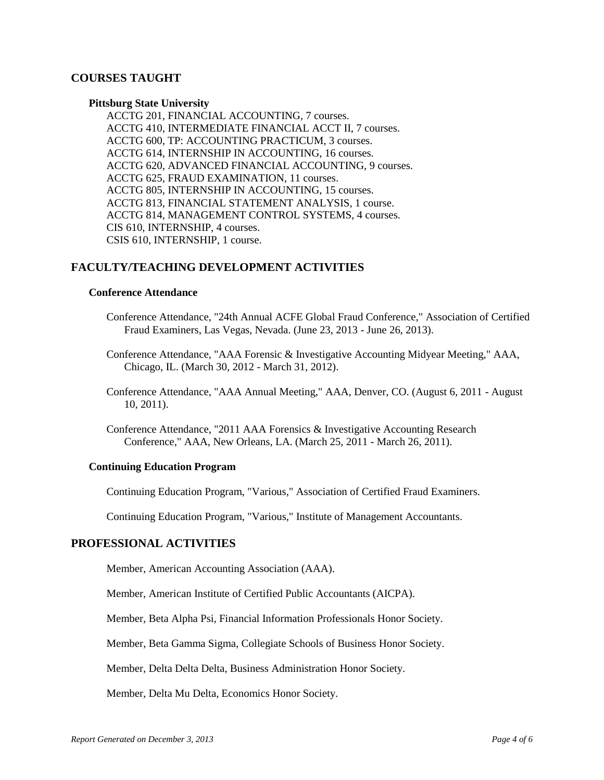# **COURSES TAUGHT**

#### **Pittsburg State University**

ACCTG 201, FINANCIAL ACCOUNTING, 7 courses. ACCTG 410, INTERMEDIATE FINANCIAL ACCT II, 7 courses. ACCTG 600, TP: ACCOUNTING PRACTICUM, 3 courses. ACCTG 614, INTERNSHIP IN ACCOUNTING, 16 courses. ACCTG 620, ADVANCED FINANCIAL ACCOUNTING, 9 courses. ACCTG 625, FRAUD EXAMINATION, 11 courses. ACCTG 805, INTERNSHIP IN ACCOUNTING, 15 courses. ACCTG 813, FINANCIAL STATEMENT ANALYSIS, 1 course. ACCTG 814, MANAGEMENT CONTROL SYSTEMS, 4 courses. CIS 610, INTERNSHIP, 4 courses. CSIS 610, INTERNSHIP, 1 course.

# **FACULTY/TEACHING DEVELOPMENT ACTIVITIES**

### **Conference Attendance**

- Conference Attendance, "24th Annual ACFE Global Fraud Conference," Association of Certified Fraud Examiners, Las Vegas, Nevada. (June 23, 2013 - June 26, 2013).
- Conference Attendance, "AAA Forensic & Investigative Accounting Midyear Meeting," AAA, Chicago, IL. (March 30, 2012 - March 31, 2012).
- Conference Attendance, "AAA Annual Meeting," AAA, Denver, CO. (August 6, 2011 August 10, 2011).
- Conference Attendance, "2011 AAA Forensics & Investigative Accounting Research Conference," AAA, New Orleans, LA. (March 25, 2011 - March 26, 2011).

### **Continuing Education Program**

Continuing Education Program, "Various," Association of Certified Fraud Examiners.

Continuing Education Program, "Various," Institute of Management Accountants.

### **PROFESSIONAL ACTIVITIES**

Member, American Accounting Association (AAA).

Member, American Institute of Certified Public Accountants (AICPA).

Member, Beta Alpha Psi, Financial Information Professionals Honor Society.

Member, Beta Gamma Sigma, Collegiate Schools of Business Honor Society.

Member, Delta Delta Delta, Business Administration Honor Society.

Member, Delta Mu Delta, Economics Honor Society.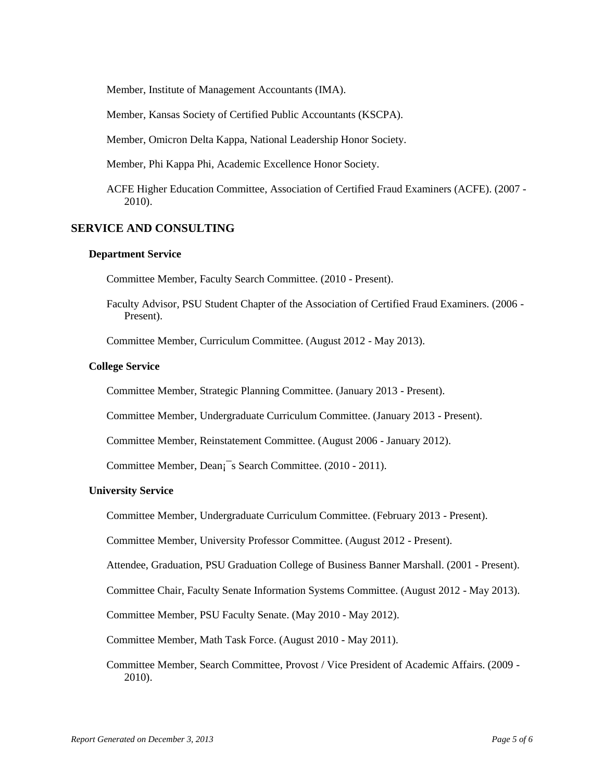Member, Institute of Management Accountants (IMA).

Member, Kansas Society of Certified Public Accountants (KSCPA).

Member, Omicron Delta Kappa, National Leadership Honor Society.

Member, Phi Kappa Phi, Academic Excellence Honor Society.

ACFE Higher Education Committee, Association of Certified Fraud Examiners (ACFE). (2007 - 2010).

### **SERVICE AND CONSULTING**

#### **Department Service**

Committee Member, Faculty Search Committee. (2010 - Present).

Faculty Advisor, PSU Student Chapter of the Association of Certified Fraud Examiners. (2006 - Present).

Committee Member, Curriculum Committee. (August 2012 - May 2013).

#### **College Service**

Committee Member, Strategic Planning Committee. (January 2013 - Present).

Committee Member, Undergraduate Curriculum Committee. (January 2013 - Present).

Committee Member, Reinstatement Committee. (August 2006 - January 2012).

Committee Member, Dean¡¯s Search Committee. (2010 - 2011).

### **University Service**

Committee Member, Undergraduate Curriculum Committee. (February 2013 - Present).

Committee Member, University Professor Committee. (August 2012 - Present).

Attendee, Graduation, PSU Graduation College of Business Banner Marshall. (2001 - Present).

Committee Chair, Faculty Senate Information Systems Committee. (August 2012 - May 2013).

Committee Member, PSU Faculty Senate. (May 2010 - May 2012).

Committee Member, Math Task Force. (August 2010 - May 2011).

Committee Member, Search Committee, Provost / Vice President of Academic Affairs. (2009 - 2010).